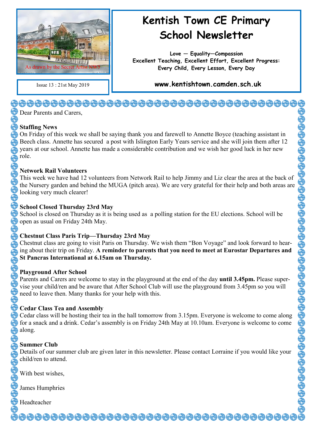

## **Kentish Town CE Primary School Newsletter**

**Love — Equality—Compassion Excellent Teaching, Excellent Effort, Excellent Progress: Every Child, Every Lesson, Every Day**

Issue 13 : 21st May 2019 **www.kentishtown.camden.sch.uk** 

#### **Dear Parents and Carers**

#### **Staffing News**

On Friday of this week we shall be saying thank you and farewell to Annette Boyce (teaching assistant in Beech class. Annette has secured a post with Islington Early Years service and she will join them after 12 years at our school. Annette has made a considerable contribution and we wish her good luck in her new role.

#### **Network Rail Volunteers**

This week we have had 12 volunteers from Network Rail to help Jimmy and Liz clear the area at the back of the Nursery garden and behind the MUGA (pitch area). We are very grateful for their help and both areas are looking very much clearer!

#### **School Closed Thursday 23rd May**

School is closed on Thursday as it is being used as a polling station for the EU elections. School will be open as usual on Friday 24th May.

#### **Chestnut Class Paris Trip—Thursday 23rd May**

Chestnut class are going to visit Paris on Thursday. We wish them "Bon Voyage" and look forward to hearing about their trip on Friday. **A reminder to parents that you need to meet at Eurostar Departures and St Pancras International at 6.15am on Thursday.**

#### **Playground After School**

Parents and Carers are welcome to stay in the playground at the end of the day **until 3.45pm.** Please supervise your child/ren and be aware that After School Club will use the playground from 3.45pm so you will need to leave then. Many thanks for your help with this.

#### **Cedar Class Tea and Assembly**

Cedar class will be hosting their tea in the hall tomorrow from 3.15pm. Everyone is welcome to come along for a snack and a drink. Cedar's assembly is on Friday 24th May at 10.10am. Everyone is welcome to come along.

### **Summer Club**

Details of our summer club are given later in this newsletter. Please contact Lorraine if you would like your child/ren to attend.

<del>ऄ</del>෯෯෯෯෯෯෯෯෯෯෯෯෯෯෯෯෯෯෯෯෯෯෯෯෯෯෯෯෯෯෯

With best wishes,

James Humphries

Headteacher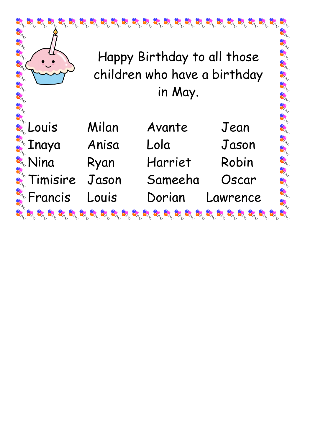

Happy Birthday to all those children who have a birthday in May.

R

| & Louis                 | Milan | Avante  | Jean     |
|-------------------------|-------|---------|----------|
| a<br>a Inaya            | Anisa | Lola    | Jason    |
| Nina                    | Ryan  | Harriet | Robin    |
| <b>R</b> Timisire       | Jason | Sameeha | Oscar    |
| <b>Referencis Louis</b> |       | Dorian  | Lawrence |
|                         |       |         |          |